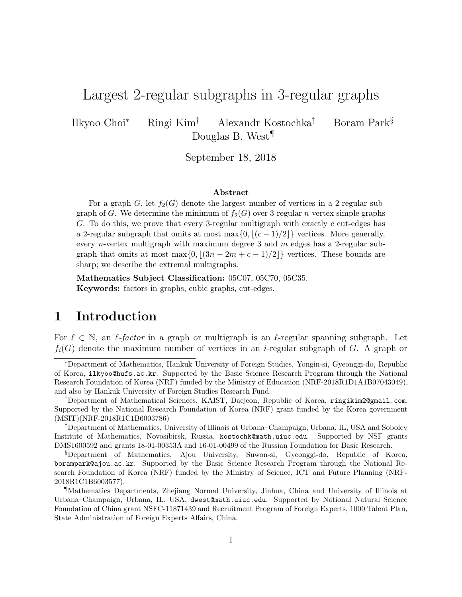# Largest 2-regular subgraphs in 3-regular graphs

Ilkyoo Choi<sup>∗</sup> Ringi Kim† Alexandr Kostochka‡ Boram Park§ Douglas B. West¶

September 18, 2018

#### Abstract

For a graph G, let  $f_2(G)$  denote the largest number of vertices in a 2-regular subgraph of G. We determine the minimum of  $f_2(G)$  over 3-regular *n*-vertex simple graphs G. To do this, we prove that every 3-regular multigraph with exactly  $c$  cut-edges has a 2-regular subgraph that omits at most max $\{0, \lfloor (c-1)/2 \rfloor\}$  vertices. More generally, every *n*-vertex multigraph with maximum degree 3 and  $m$  edges has a 2-regular subgraph that omits at most max $\{0, \lfloor (3n - 2m + c - 1)/2 \rfloor\}$  vertices. These bounds are sharp; we describe the extremal multigraphs.

Mathematics Subject Classification: 05C07, 05C70, 05C35. Keywords: factors in graphs, cubic graphs, cut-edges.

## 1 Introduction

For  $\ell \in \mathbb{N}$ , an  $\ell$ -factor in a graph or multigraph is an  $\ell$ -regular spanning subgraph. Let  $f_i(G)$  denote the maximum number of vertices in an *i*-regular subgraph of G. A graph or

<sup>∗</sup>Department of Mathematics, Hankuk University of Foreign Studies, Yongin-si, Gyeonggi-do, Republic of Korea, ilkyoo@hufs.ac.kr. Supported by the Basic Science Research Program through the National Research Foundation of Korea (NRF) funded by the Ministry of Education (NRF-2018R1D1A1B07043049), and also by Hankuk University of Foreign Studies Research Fund.

<sup>†</sup>Department of Mathematical Sciences, KAIST, Daejeon, Republic of Korea, ringikim2@gmail.com. Supported by the National Research Foundation of Korea (NRF) grant funded by the Korea government (MSIT)(NRF-2018R1C1B6003786)

<sup>‡</sup>Department of Mathematics, University of Illinois at Urbana–Champaign, Urbana, IL, USA and Sobolev Institute of Mathematics, Novosibirsk, Russia, kostochk@math.uiuc.edu. Supported by NSF grants DMS1600592 and grants 18-01-00353A and 16-01-00499 of the Russian Foundation for Basic Research.

<sup>§</sup>Department of Mathematics, Ajou University, Suwon-si, Gyeonggi-do, Republic of Korea, borampark@ajou.ac.kr. Supported by the Basic Science Research Program through the National Research Foundation of Korea (NRF) funded by the Ministry of Science, ICT and Future Planning (NRF-2018R1C1B6003577).

<sup>¶</sup>Mathematics Departments, Zhejiang Normal University, Jinhua, China and University of Illinois at Urbana–Champaign, Urbana, IL, USA, dwest@math.uiuc.edu. Supported by National Natural Science Foundation of China grant NSFC-11871439 and Recruitment Program of Foreign Experts, 1000 Talent Plan, State Administration of Foreign Experts Affairs, China.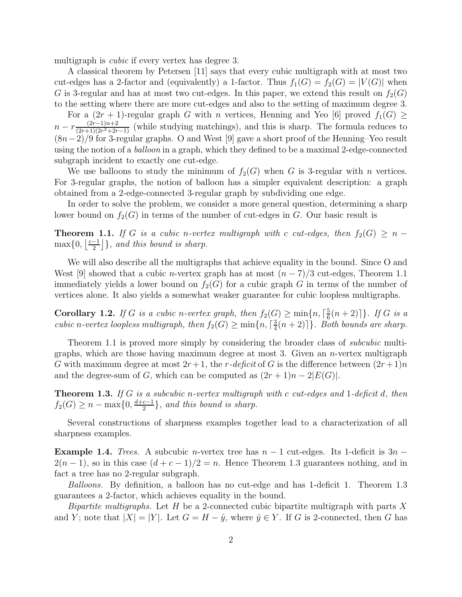multigraph is *cubic* if every vertex has degree 3.

A classical theorem by Petersen [11] says that every cubic multigraph with at most two cut-edges has a 2-factor and (equivalently) a 1-factor. Thus  $f_1(G) = f_2(G) = |V(G)|$  when G is 3-regular and has at most two cut-edges. In this paper, we extend this result on  $f_2(G)$ to the setting where there are more cut-edges and also to the setting of maximum degree 3.

For a  $(2r + 1)$ -regular graph G with n vertices, Henning and Yeo [6] proved  $f_1(G) \ge$  $n - r \frac{(2r-1)n+2}{(2r+1)(2r^2+2r)}$  $\frac{(2r-1)n+2}{(2r+1)(2r^2+2r-1)}$  (while studying matchings), and this is sharp. The formula reduces to  $(8n-2)/9$  for 3-regular graphs. O and West [9] gave a short proof of the Henning–Yeo result using the notion of a *balloon* in a graph, which they defined to be a maximal 2-edge-connected subgraph incident to exactly one cut-edge.

We use balloons to study the minimum of  $f_2(G)$  when G is 3-regular with n vertices. For 3-regular graphs, the notion of balloon has a simpler equivalent description: a graph obtained from a 2-edge-connected 3-regular graph by subdividing one edge.

In order to solve the problem, we consider a more general question, determining a sharp lower bound on  $f_2(G)$  in terms of the number of cut-edges in G. Our basic result is

**Theorem 1.1.** If G is a cubic n-vertex multigraph with c cut-edges, then  $f_2(G) \geq n \max\{0, \left|\frac{c-1}{2}\right.$  $\left[\frac{-1}{2}\right]$ , and this bound is sharp.

We will also describe all the multigraphs that achieve equality in the bound. Since O and West [9] showed that a cubic *n*-vertex graph has at most  $(n-7)/3$  cut-edges, Theorem 1.1 immediately yields a lower bound on  $f_2(G)$  for a cubic graph G in terms of the number of vertices alone. It also yields a somewhat weaker guarantee for cubic loopless multigraphs.

**Corollary 1.2.** If G is a cubic n-vertex graph, then  $f_2(G) \ge \min\{n, \lceil \frac{5}{6} \rceil\}$  $\frac{5}{6}(n+2)$ ] }. If G is a cubic n-vertex loopless multigraph, then  $f_2(G) \ge \min\{n, \lceil \frac{3}{4} \rceil\}$  $\frac{3}{4}(n+2)$ ]. Both bounds are sharp.

Theorem 1.1 is proved more simply by considering the broader class of *subcubic* multigraphs, which are those having maximum degree at most 3. Given an  $n$ -vertex multigraph G with maximum degree at most  $2r+1$ , the r-deficit of G is the difference between  $(2r+1)n$ and the degree-sum of G, which can be computed as  $(2r+1)n - 2|E(G)|$ .

**Theorem 1.3.** If  $G$  is a subcubic n-vertex multigraph with  $c$  cut-edges and 1-deficit  $d$ , then  $f_2(G) \geq n - \max\{0, \frac{d+c-1}{2}\}$  $\left\{\frac{c-1}{2}\right\}$ , and this bound is sharp.

Several constructions of sharpness examples together lead to a characterization of all sharpness examples.

**Example 1.4.** Trees. A subcubic n-vertex tree has  $n-1$  cut-edges. Its 1-deficit is  $3n 2(n-1)$ , so in this case  $(d+c-1)/2 = n$ . Hence Theorem 1.3 guarantees nothing, and in fact a tree has no 2-regular subgraph.

Balloons. By definition, a balloon has no cut-edge and has 1-deficit 1. Theorem 1.3 guarantees a 2-factor, which achieves equality in the bound.

*Bipartite multigraphs.* Let  $H$  be a 2-connected cubic bipartite multigraph with parts  $X$ and Y; note that  $|X| = |Y|$ . Let  $G = H - \hat{y}$ , where  $\hat{y} \in Y$ . If G is 2-connected, then G has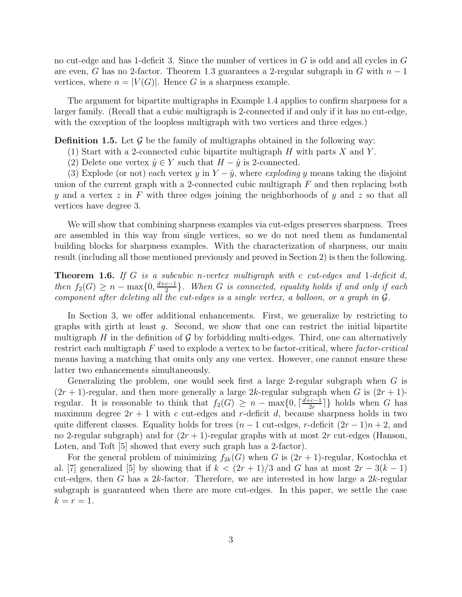no cut-edge and has 1-deficit 3. Since the number of vertices in G is odd and all cycles in G are even, G has no 2-factor. Theorem 1.3 guarantees a 2-regular subgraph in G with  $n-1$ vertices, where  $n = |V(G)|$ . Hence G is a sharpness example.

The argument for bipartite multigraphs in Example 1.4 applies to confirm sharpness for a larger family. (Recall that a cubic multigraph is 2-connected if and only if it has no cut-edge, with the exception of the loopless multigraph with two vertices and three edges.)

**Definition 1.5.** Let  $\mathcal{G}$  be the family of multigraphs obtained in the following way:

- (1) Start with a 2-connected cubic bipartite multigraph  $H$  with parts  $X$  and  $Y$ .
- (2) Delete one vertex  $\hat{y} \in Y$  such that  $H \hat{y}$  is 2-connected.

(3) Explode (or not) each vertex y in  $Y - \hat{y}$ , where *exploding* y means taking the disjoint union of the current graph with a 2-connected cubic multigraph  $F$  and then replacing both y and a vertex  $z$  in F with three edges joining the neighborhoods of y and  $z$  so that all vertices have degree 3.

We will show that combining sharpness examples via cut-edges preserves sharpness. Trees are assembled in this way from single vertices, so we do not need them as fundamental building blocks for sharpness examples. With the characterization of sharpness, our main result (including all those mentioned previously and proved in Section 2) is then the following.

**Theorem 1.6.** If G is a subcubic n-vertex multigraph with c cut-edges and 1-deficit d, then  $f_2(G) \geq n - \max\{0, \frac{d+c-1}{2}\}$  $\frac{c-1}{2}$ . When G is connected, equality holds if and only if each component after deleting all the cut-edges is a single vertex, a balloon, or a graph in G.

In Section 3, we offer additional enhancements. First, we generalize by restricting to graphs with girth at least g. Second, we show that one can restrict the initial bipartite multigraph H in the definition of  $\mathcal G$  by forbidding multi-edges. Third, one can alternatively restrict each multigraph  $F$  used to explode a vertex to be factor-critical, where factor-critical means having a matching that omits only any one vertex. However, one cannot ensure these latter two enhancements simultaneously.

Generalizing the problem, one would seek first a large 2-regular subgraph when  $G$  is  $(2r + 1)$ -regular, and then more generally a large 2k-regular subgraph when G is  $(2r + 1)$ regular. It is reasonable to think that  $f_2(G) \geq n - \max\{0, \lceil \frac{d+c-1}{2r} \rceil \}$  $\frac{c-1}{2r}$  holds when G has maximum degree  $2r + 1$  with c cut-edges and r-deficit d, because sharpness holds in two quite different classes. Equality holds for trees  $(n - 1$  cut-edges, r-deficit  $(2r - 1)n + 2$ , and no 2-regular subgraph) and for  $(2r + 1)$ -regular graphs with at most 2r cut-edges (Hanson, Loten, and Toft [5] showed that every such graph has a 2-factor).

For the general problem of minimizing  $f_{2k}(G)$  when G is  $(2r + 1)$ -regular, Kostochka et al. [7] generalized [5] by showing that if  $k < (2r+1)/3$  and G has at most  $2r-3(k-1)$ cut-edges, then G has a 2k-factor. Therefore, we are interested in how large a 2k-regular subgraph is guaranteed when there are more cut-edges. In this paper, we settle the case  $k = r = 1.$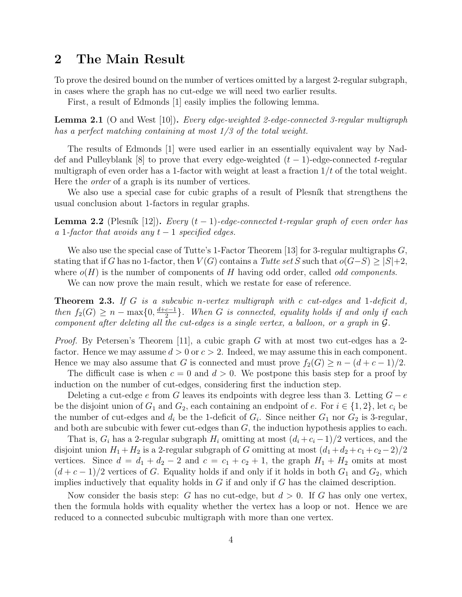#### 2 The Main Result

To prove the desired bound on the number of vertices omitted by a largest 2-regular subgraph, in cases where the graph has no cut-edge we will need two earlier results.

First, a result of Edmonds [1] easily implies the following lemma.

**Lemma 2.1** (O and West [10]). Every edge-weighted 2-edge-connected 3-regular multigraph has a perfect matching containing at most 1/3 of the total weight.

The results of Edmonds [1] were used earlier in an essentially equivalent way by Naddef and Pulleyblank [8] to prove that every edge-weighted  $(t-1)$ -edge-connected t-regular multigraph of even order has a 1-factor with weight at least a fraction  $1/t$  of the total weight. Here the order of a graph is its number of vertices.

We also use a special case for cubic graphs of a result of Plesník that strengthens the usual conclusion about 1-factors in regular graphs.

**Lemma 2.2** (Plesník [12]). Every  $(t-1)$ -edge-connected t-regular graph of even order has a 1-factor that avoids any  $t-1$  specified edges.

We also use the special case of Tutte's 1-Factor Theorem [13] for 3-regular multigraphs  $G$ , stating that if G has no 1-factor, then  $V(G)$  contains a Tutte set S such that  $o(G-S) \geq |S|+2$ , where  $o(H)$  is the number of components of H having odd order, called *odd components*.

We can now prove the main result, which we restate for ease of reference.

**Theorem 2.3.** If G is a subcubic n-vertex multigraph with c cut-edges and 1-deficit d, then  $f_2(G) \geq n - \max\{0, \frac{d+c-1}{2}\}$  $\frac{c-1}{2}$ . When G is connected, equality holds if and only if each component after deleting all the cut-edges is a single vertex, a balloon, or a graph in G.

*Proof.* By Petersen's Theorem [11], a cubic graph G with at most two cut-edges has a 2factor. Hence we may assume  $d > 0$  or  $c > 2$ . Indeed, we may assume this in each component. Hence we may also assume that G is connected and must prove  $f_2(G) \geq n - (d + c - 1)/2$ .

The difficult case is when  $c = 0$  and  $d > 0$ . We postpone this basis step for a proof by induction on the number of cut-edges, considering first the induction step.

Deleting a cut-edge e from G leaves its endpoints with degree less than 3. Letting  $G - e$ be the disjoint union of  $G_1$  and  $G_2$ , each containing an endpoint of e. For  $i \in \{1,2\}$ , let  $c_i$  be the number of cut-edges and  $d_i$  be the 1-deficit of  $G_i$ . Since neither  $G_1$  nor  $G_2$  is 3-regular, and both are subcubic with fewer cut-edges than G, the induction hypothesis applies to each.

That is,  $G_i$  has a 2-regular subgraph  $H_i$  omitting at most  $(d_i + c_i - 1)/2$  vertices, and the disjoint union  $H_1 + H_2$  is a 2-regular subgraph of G omitting at most  $(d_1 + d_2 + c_1 + c_2 - 2)/2$ vertices. Since  $d = d_1 + d_2 - 2$  and  $c = c_1 + c_2 + 1$ , the graph  $H_1 + H_2$  omits at most  $(d + c - 1)/2$  vertices of G. Equality holds if and only if it holds in both  $G_1$  and  $G_2$ , which implies inductively that equality holds in  $G$  if and only if  $G$  has the claimed description.

Now consider the basis step: G has no cut-edge, but  $d > 0$ . If G has only one vertex, then the formula holds with equality whether the vertex has a loop or not. Hence we are reduced to a connected subcubic multigraph with more than one vertex.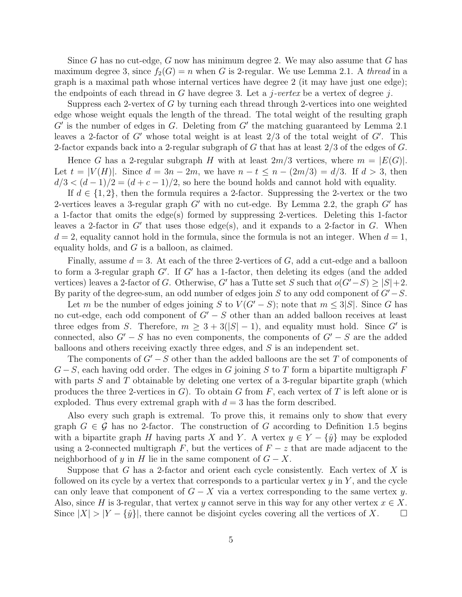Since G has no cut-edge, G now has minimum degree 2. We may also assume that G has maximum degree 3, since  $f_2(G) = n$  when G is 2-regular. We use Lemma 2.1. A thread in a graph is a maximal path whose internal vertices have degree 2 (it may have just one edge); the endpoints of each thread in  $G$  have degree 3. Let a *j*-vertex be a vertex of degree *j*.

Suppress each 2-vertex of G by turning each thread through 2-vertices into one weighted edge whose weight equals the length of the thread. The total weight of the resulting graph  $G'$  is the number of edges in  $G$ . Deleting from  $G'$  the matching guaranteed by Lemma 2.1 leaves a 2-factor of  $G'$  whose total weight is at least  $2/3$  of the total weight of  $G'$ . This 2-factor expands back into a 2-regular subgraph of G that has at least 2/3 of the edges of G.

Hence G has a 2-regular subgraph H with at least  $2m/3$  vertices, where  $m = |E(G)|$ . Let  $t = |V(H)|$ . Since  $d = 3n - 2m$ , we have  $n - t \leq n - (2m/3) = d/3$ . If  $d > 3$ , then  $d/3 < (d-1)/2 = (d+c-1)/2$ , so here the bound holds and cannot hold with equality.

If  $d \in \{1, 2\}$ , then the formula requires a 2-factor. Suppressing the 2-vertex or the two 2-vertices leaves a 3-regular graph  $G'$  with no cut-edge. By Lemma 2.2, the graph  $G'$  has a 1-factor that omits the edge(s) formed by suppressing 2-vertices. Deleting this 1-factor leaves a 2-factor in  $G'$  that uses those edge(s), and it expands to a 2-factor in  $G$ . When  $d = 2$ , equality cannot hold in the formula, since the formula is not an integer. When  $d = 1$ , equality holds, and  $G$  is a balloon, as claimed.

Finally, assume  $d = 3$ . At each of the three 2-vertices of G, add a cut-edge and a balloon to form a 3-regular graph  $G'$ . If  $G'$  has a 1-factor, then deleting its edges (and the added vertices) leaves a 2-factor of G. Otherwise, G' has a Tutte set S such that  $o(G'-S) \ge |S|+2$ . By parity of the degree-sum, an odd number of edges join S to any odd component of  $G'-S$ .

Let m be the number of edges joining S to  $V(G'-S)$ ; note that  $m \leq 3|S|$ . Since G has no cut-edge, each odd component of  $G' - S$  other than an added balloon receives at least three edges from S. Therefore,  $m \geq 3 + 3(|S| - 1)$ , and equality must hold. Since G' is connected, also  $G' - S$  has no even components, the components of  $G' - S$  are the added balloons and others receiving exactly three edges, and S is an independent set.

The components of  $G' - S$  other than the added balloons are the set T of components of  $G-S$ , each having odd order. The edges in G joining S to T form a bipartite multigraph F with parts  $S$  and  $T$  obtainable by deleting one vertex of a 3-regular bipartite graph (which produces the three 2-vertices in  $G$ ). To obtain G from F, each vertex of T is left alone or is exploded. Thus every extremal graph with  $d = 3$  has the form described.

Also every such graph is extremal. To prove this, it remains only to show that every graph  $G \in \mathcal{G}$  has no 2-factor. The construction of G according to Definition 1.5 begins with a bipartite graph H having parts X and Y. A vertex  $y \in Y - \{\hat{y}\}\$  may be exploded using a 2-connected multigraph F, but the vertices of  $F - z$  that are made adjacent to the neighborhood of y in H lie in the same component of  $G - X$ .

Suppose that G has a 2-factor and orient each cycle consistently. Each vertex of  $X$  is followed on its cycle by a vertex that corresponds to a particular vertex  $y$  in  $Y$ , and the cycle can only leave that component of  $G - X$  via a vertex corresponding to the same vertex y. Also, since H is 3-regular, that vertex y cannot serve in this way for any other vertex  $x \in X$ . Since  $|X| > |Y - \{\hat{y}\}\rangle$ , there cannot be disjoint cycles covering all the vertices of X.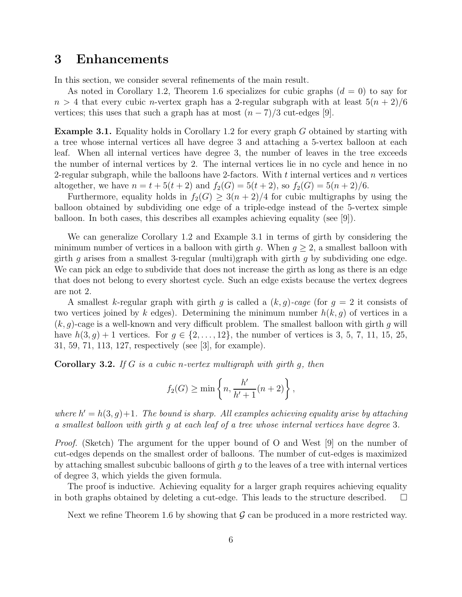#### 3 Enhancements

In this section, we consider several refinements of the main result.

As noted in Corollary 1.2, Theorem 1.6 specializes for cubic graphs  $(d = 0)$  to say for  $n > 4$  that every cubic *n*-vertex graph has a 2-regular subgraph with at least  $5(n + 2)/6$ vertices; this uses that such a graph has at most  $(n-7)/3$  cut-edges [9].

Example 3.1. Equality holds in Corollary 1.2 for every graph G obtained by starting with a tree whose internal vertices all have degree 3 and attaching a 5-vertex balloon at each leaf. When all internal vertices have degree 3, the number of leaves in the tree exceeds the number of internal vertices by 2. The internal vertices lie in no cycle and hence in no 2-regular subgraph, while the balloons have 2-factors. With  $t$  internal vertices and  $n$  vertices altogether, we have  $n = t + 5(t + 2)$  and  $f_2(G) = 5(t + 2)$ , so  $f_2(G) = 5(n + 2)/6$ .

Furthermore, equality holds in  $f_2(G) \geq 3(n+2)/4$  for cubic multigraphs by using the balloon obtained by subdividing one edge of a triple-edge instead of the 5-vertex simple balloon. In both cases, this describes all examples achieving equality (see [9]).

We can generalize Corollary 1.2 and Example 3.1 in terms of girth by considering the minimum number of vertices in a balloon with girth g. When  $g \geq 2$ , a smallest balloon with girth q arises from a smallest 3-regular (multi)graph with girth q by subdividing one edge. We can pick an edge to subdivide that does not increase the girth as long as there is an edge that does not belong to every shortest cycle. Such an edge exists because the vertex degrees are not 2.

A smallest k-regular graph with girth g is called a  $(k, g)$ -cage (for  $g = 2$  it consists of two vertices joined by k edges). Determining the minimum number  $h(k, g)$  of vertices in a  $(k, g)$ -cage is a well-known and very difficult problem. The smallest balloon with girth g will have  $h(3, g) + 1$  vertices. For  $g \in \{2, ..., 12\}$ , the number of vertices is 3, 5, 7, 11, 15, 25, 31, 59, 71, 113, 127, respectively (see [3], for example).

**Corollary 3.2.** If G is a cubic n-vertex multigraph with girth g, then

$$
f_2(G) \ge \min\left\{n, \frac{h'}{h'+1}(n+2)\right\},\,
$$

where  $h' = h(3, g) + 1$ . The bound is sharp. All examples achieving equality arise by attaching a smallest balloon with girth g at each leaf of a tree whose internal vertices have degree 3.

Proof. (Sketch) The argument for the upper bound of O and West [9] on the number of cut-edges depends on the smallest order of balloons. The number of cut-edges is maximized by attaching smallest subcubic balloons of girth  $q$  to the leaves of a tree with internal vertices of degree 3, which yields the given formula.

The proof is inductive. Achieving equality for a larger graph requires achieving equality in both graphs obtained by deleting a cut-edge. This leads to the structure described.  $\square$ 

Next we refine Theorem 1.6 by showing that  $\mathcal G$  can be produced in a more restricted way.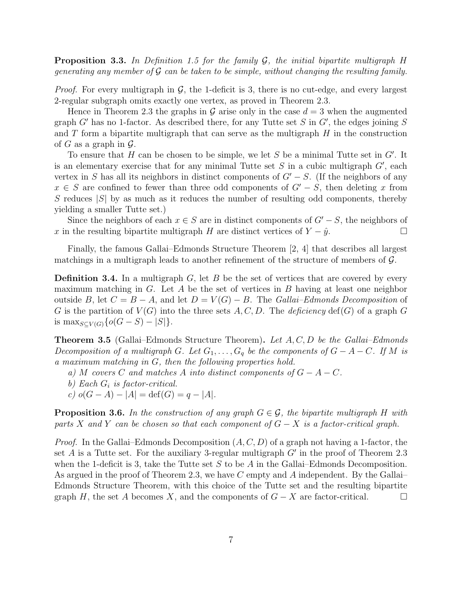**Proposition 3.3.** In Definition 1.5 for the family  $\mathcal{G}$ , the initial bipartite multigraph H generating any member of G can be taken to be simple, without changing the resulting family.

*Proof.* For every multigraph in  $\mathcal{G}$ , the 1-deficit is 3, there is no cut-edge, and every largest 2-regular subgraph omits exactly one vertex, as proved in Theorem 2.3.

Hence in Theorem 2.3 the graphs in G arise only in the case  $d = 3$  when the augmented graph  $G'$  has no 1-factor. As described there, for any Tutte set  $S$  in  $G'$ , the edges joining  $S$ and  $T$  form a bipartite multigraph that can serve as the multigraph  $H$  in the construction of G as a graph in  $\mathcal{G}$ .

To ensure that  $H$  can be chosen to be simple, we let  $S$  be a minimal Tutte set in  $G'$ . It is an elementary exercise that for any minimal Tutte set  $S$  in a cubic multigraph  $G'$ , each vertex in S has all its neighbors in distinct components of  $G' - S$ . (If the neighbors of any  $x \in S$  are confined to fewer than three odd components of  $G' - S$ , then deleting x from S reduces  $|S|$  by as much as it reduces the number of resulting odd components, thereby yielding a smaller Tutte set.)

Since the neighbors of each  $x \in S$  are in distinct components of  $G' - S$ , the neighbors of x in the resulting bipartite multigraph H are distinct vertices of  $Y - \hat{y}$ .

Finally, the famous Gallai–Edmonds Structure Theorem [2, 4] that describes all largest matchings in a multigraph leads to another refinement of the structure of members of  $\mathcal{G}$ .

**Definition 3.4.** In a multigraph  $G$ , let  $B$  be the set of vertices that are covered by every maximum matching in  $G$ . Let  $A$  be the set of vertices in  $B$  having at least one neighbor outside B, let  $C = B - A$ , and let  $D = V(G) - B$ . The Gallai–Edmonds Decomposition of G is the partition of  $V(G)$  into the three sets A, C, D. The deficiency def(G) of a graph G is  $\max_{S \subseteq V(G)} \{o(G - S) - |S|\}.$ 

**Theorem 3.5** (Gallai–Edmonds Structure Theorem). Let  $A, C, D$  be the Gallai–Edmonds Decomposition of a multigraph G. Let  $G_1, \ldots, G_q$  be the components of  $G - A - C$ . If M is a maximum matching in G, then the following properties hold.

- a) M covers C and matches A into distinct components of  $G A C$ .
- b) Each  $G_i$  is factor-critical.
- c)  $o(G A) |A| = \text{def}(G) = q |A|.$

**Proposition 3.6.** In the construction of any graph  $G \in \mathcal{G}$ , the bipartite multigraph H with parts X and Y can be chosen so that each component of  $G - X$  is a factor-critical graph.

*Proof.* In the Gallai–Edmonds Decomposition  $(A, C, D)$  of a graph not having a 1-factor, the set  $A$  is a Tutte set. For the auxiliary 3-regular multigraph  $G'$  in the proof of Theorem 2.3 when the 1-deficit is 3, take the Tutte set  $S$  to be  $A$  in the Gallai–Edmonds Decomposition. As argued in the proof of Theorem 2.3, we have C empty and A independent. By the Gallai– Edmonds Structure Theorem, with this choice of the Tutte set and the resulting bipartite graph H, the set A becomes X, and the components of  $G - X$  are factor-critical.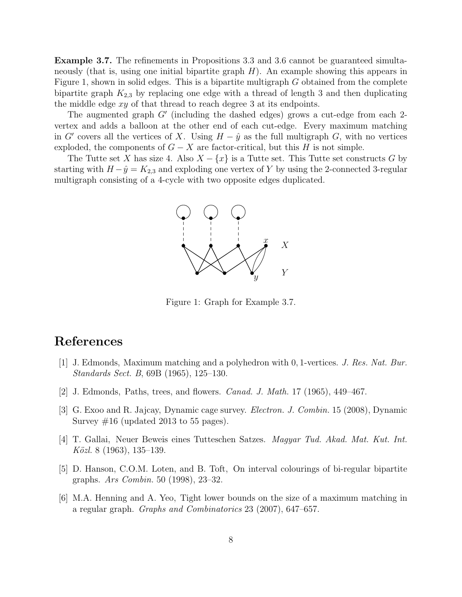Example 3.7. The refinements in Propositions 3.3 and 3.6 cannot be guaranteed simultaneously (that is, using one initial bipartite graph  $H$ ). An example showing this appears in Figure 1, shown in solid edges. This is a bipartite multigraph G obtained from the complete bipartite graph  $K_{2,3}$  by replacing one edge with a thread of length 3 and then duplicating the middle edge xy of that thread to reach degree 3 at its endpoints.

The augmented graph  $G'$  (including the dashed edges) grows a cut-edge from each 2vertex and adds a balloon at the other end of each cut-edge. Every maximum matching in G' covers all the vertices of X. Using  $H - \hat{y}$  as the full multigraph G, with no vertices exploded, the components of  $G - X$  are factor-critical, but this H is not simple.

The Tutte set X has size 4. Also  $X - \{x\}$  is a Tutte set. This Tutte set constructs G by starting with  $H - \hat{y} = K_{2,3}$  and exploding one vertex of Y by using the 2-connected 3-regular multigraph consisting of a 4-cycle with two opposite edges duplicated.



Figure 1: Graph for Example 3.7.

### References

- [1] J. Edmonds, Maximum matching and a polyhedron with 0, 1-vertices. J. Res. Nat. Bur. Standards Sect. B, 69B (1965), 125–130.
- [2] J. Edmonds, Paths, trees, and flowers. Canad. J. Math. 17 (1965), 449–467.
- [3] G. Exoo and R. Jajcay, Dynamic cage survey. Electron. J. Combin. 15 (2008), Dynamic Survey  $\#16$  (updated 2013 to 55 pages).
- [4] T. Gallai, Neuer Beweis eines Tutteschen Satzes. Magyar Tud. Akad. Mat. Kut. Int. Közl. 8  $(1963)$ , 135–139.
- [5] D. Hanson, C.O.M. Loten, and B. Toft, On interval colourings of bi-regular bipartite graphs. Ars Combin. 50 (1998), 23–32.
- [6] M.A. Henning and A. Yeo, Tight lower bounds on the size of a maximum matching in a regular graph. Graphs and Combinatorics 23 (2007), 647–657.